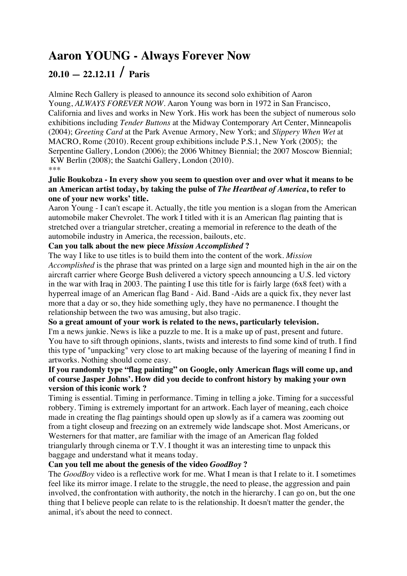# **Aaron YOUNG - Always Forever Now**

# **20.10 — 22.12.11 / Paris**

Almine Rech Gallery is pleased to announce its second solo exhibition of Aaron Young, *ALWAYS FOREVER NOW*. Aaron Young was born in 1972 in San Francisco, California and lives and works in New York. His work has been the subject of numerous solo exhibitions including *Tender Buttons* at the Midway Contemporary Art Center, Minneapolis (2004); *Greeting Card* at the Park Avenue Armory, New York; and *Slippery When Wet* at MACRO, Rome (2010). Recent group exhibitions include P.S.1, New York (2005); the Serpentine Gallery, London (2006); the 2006 Whitney Biennial; the 2007 Moscow Biennial; KW Berlin (2008); the Saatchi Gallery, London (2010). \*\*\*

## **Julie Boukobza - In every show you seem to question over and over what it means to be an American artist today, by taking the pulse of** *The Heartbeat of America***, to refer to one of your new works' title.**

Aaron Young - I can't escape it. Actually, the title you mention is a slogan from the American automobile maker Chevrolet. The work I titled with it is an American flag painting that is stretched over a triangular stretcher, creating a memorial in reference to the death of the automobile industry in America, the recession, bailouts, etc.

## **Can you talk about the new piece** *Mission Accomplished* **?**

The way I like to use titles is to build them into the content of the work. *Mission Accomplished* is the phrase that was printed on a large sign and mounted high in the air on the aircraft carrier where George Bush delivered a victory speech announcing a U.S. led victory in the war with Iraq in 2003. The painting I use this title for is fairly large (6x8 feet) with a hyperreal image of an American flag Band - Aid. Band -Aids are a quick fix, they never last more that a day or so, they hide something ugly, they have no permanence. I thought the relationship between the two was amusing, but also tragic.

## **So a great amount of your work is related to the news, particularly television.**

I'm a news junkie. News is like a puzzle to me. It is a make up of past, present and future. You have to sift through opinions, slants, twists and interests to find some kind of truth. I find this type of "unpacking" very close to art making because of the layering of meaning I find in artworks. Nothing should come easy.

## **If you randomly type "flag painting" on Google, only American flags will come up, and of course Jasper Johns'. How did you decide to confront history by making your own version of this iconic work ?**

Timing is essential. Timing in performance. Timing in telling a joke. Timing for a successful robbery. Timing is extremely important for an artwork. Each layer of meaning, each choice made in creating the flag paintings should open up slowly as if a camera was zooming out from a tight closeup and freezing on an extremely wide landscape shot. Most Americans, or Westerners for that matter, are familiar with the image of an American flag folded triangularly through cinema or T.V. I thought it was an interesting time to unpack this baggage and understand what it means today.

## **Can you tell me about the genesis of the video** *GoodBoy* **?**

The *GoodBoy* video is a reflective work for me. What I mean is that I relate to it. I sometimes feel like its mirror image. I relate to the struggle, the need to please, the aggression and pain involved, the confrontation with authority, the notch in the hierarchy. I can go on, but the one thing that I believe people can relate to is the relationship. It doesn't matter the gender, the animal, it's about the need to connect.